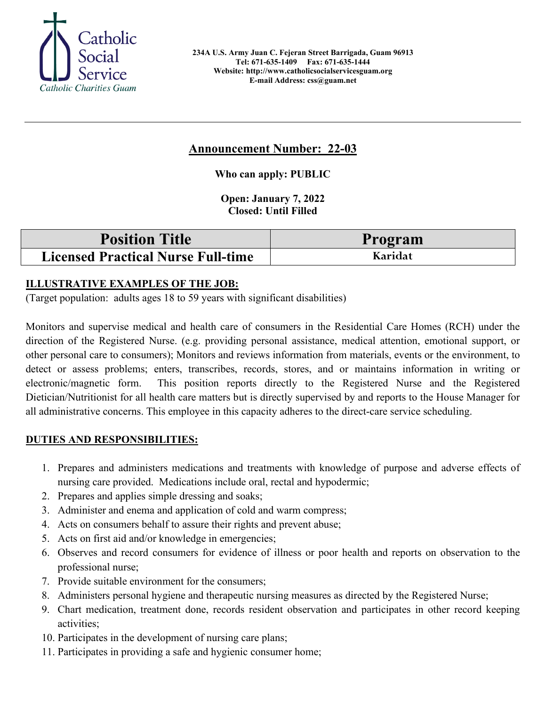

# **Announcement Number: 22-03**

**Who can apply: PUBLIC**

**Open: January 7, 2022 Closed: Until Filled** 

| <b>Position Title</b>                     | Program |
|-------------------------------------------|---------|
| <b>Licensed Practical Nurse Full-time</b> | Karidat |

## **ILLUSTRATIVE EXAMPLES OF THE JOB:**

(Target population: adults ages 18 to 59 years with significant disabilities)

Monitors and supervise medical and health care of consumers in the Residential Care Homes (RCH) under the direction of the Registered Nurse. (e.g. providing personal assistance, medical attention, emotional support, or other personal care to consumers); Monitors and reviews information from materials, events or the environment, to detect or assess problems; enters, transcribes, records, stores, and or maintains information in writing or electronic/magnetic form. This position reports directly to the Registered Nurse and the Registered Dietician/Nutritionist for all health care matters but is directly supervised by and reports to the House Manager for all administrative concerns. This employee in this capacity adheres to the direct-care service scheduling.

## **DUTIES AND RESPONSIBILITIES:**

- 1. Prepares and administers medications and treatments with knowledge of purpose and adverse effects of nursing care provided. Medications include oral, rectal and hypodermic;
- 2. Prepares and applies simple dressing and soaks;
- 3. Administer and enema and application of cold and warm compress;
- 4. Acts on consumers behalf to assure their rights and prevent abuse;
- 5. Acts on first aid and/or knowledge in emergencies;
- 6. Observes and record consumers for evidence of illness or poor health and reports on observation to the professional nurse;
- 7. Provide suitable environment for the consumers;
- 8. Administers personal hygiene and therapeutic nursing measures as directed by the Registered Nurse;
- 9. Chart medication, treatment done, records resident observation and participates in other record keeping activities;
- 10. Participates in the development of nursing care plans;
- 11. Participates in providing a safe and hygienic consumer home;